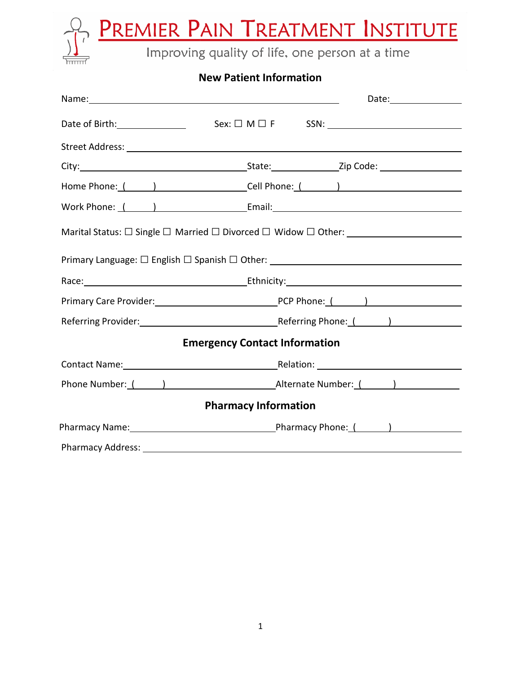**PREMIER PAIN TREATMENT INSTITUTE**<br>Improving quality of life, one person at a time

## **New Patient Information**

| Name: Name: Name: Name: Name: Name: Name: Name: Name: Name: Name: Name: Name: Name: Name: Name: Name: Name: Name: Name: Name: Name: Name: Name: Name: Name: Name: Name: Name: Name: Name: Name: Name: Name: Name: Name: Name: | Date:________________                                                                                             |  |  |
|-------------------------------------------------------------------------------------------------------------------------------------------------------------------------------------------------------------------------------|-------------------------------------------------------------------------------------------------------------------|--|--|
|                                                                                                                                                                                                                               |                                                                                                                   |  |  |
|                                                                                                                                                                                                                               |                                                                                                                   |  |  |
|                                                                                                                                                                                                                               |                                                                                                                   |  |  |
|                                                                                                                                                                                                                               |                                                                                                                   |  |  |
|                                                                                                                                                                                                                               |                                                                                                                   |  |  |
|                                                                                                                                                                                                                               |                                                                                                                   |  |  |
|                                                                                                                                                                                                                               | Primary Language: □ English □ Spanish □ Other: _________________________________                                  |  |  |
|                                                                                                                                                                                                                               | Race: Lawrence Lawrence Lawrence Lawrence Lawrence Lawrence Lawrence Lawrence Lawrence Lawrence Lawrence Lawrence |  |  |
|                                                                                                                                                                                                                               |                                                                                                                   |  |  |
|                                                                                                                                                                                                                               | Referring Provider: 1990 March 2010 Mercent Referring Phone: (Camp 2010)                                          |  |  |
|                                                                                                                                                                                                                               | <b>Emergency Contact Information</b>                                                                              |  |  |
|                                                                                                                                                                                                                               |                                                                                                                   |  |  |
|                                                                                                                                                                                                                               |                                                                                                                   |  |  |
| <b>Pharmacy Information</b>                                                                                                                                                                                                   |                                                                                                                   |  |  |
|                                                                                                                                                                                                                               |                                                                                                                   |  |  |
|                                                                                                                                                                                                                               |                                                                                                                   |  |  |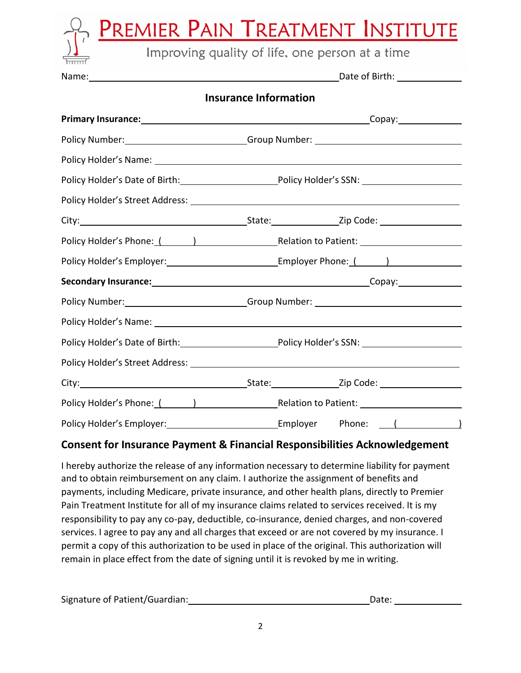|       | PREMIER PAIN TREATMENT INSTITUTE                |
|-------|-------------------------------------------------|
|       | Improving quality of life, one person at a time |
| Name: | Date of Birth:                                  |
|       | <b>Insurance Information</b>                    |

| Policy Number: __________________________Group Number: _________________________                               |  |
|----------------------------------------------------------------------------------------------------------------|--|
|                                                                                                                |  |
|                                                                                                                |  |
|                                                                                                                |  |
|                                                                                                                |  |
| Policy Holder's Phone: ( and ) [2012] [2013] [2014] [2014] [2014] [2014] [2015] [2014] [2015] [2016] [2016] [  |  |
| Policy Holder's Employer: _______________________________Employer Phone: ( ______)                             |  |
|                                                                                                                |  |
| Policy Number: __________________________Group Number: _________________________                               |  |
|                                                                                                                |  |
| Policy Holder's Date of Birth: Policy Holder's SSN: North Control of Birth:                                    |  |
|                                                                                                                |  |
|                                                                                                                |  |
| Policy Holder's Phone: ( ) The Relation to Patient: Letter Controller Controller Patient: Letter Controller Co |  |
| Policy Holder's Employer: 1997 [2010] [2010] [2010] [2010] [2010] [2010] [2010] [2010] [2010] [2010] [2010] [  |  |

### **Consent for Insurance Payment & Financial Responsibilities Acknowledgement**

I hereby authorize the release of any information necessary to determine liability for payment and to obtain reimbursement on any claim. I authorize the assignment of benefits and payments, including Medicare, private insurance, and other health plans, directly to Premier Pain Treatment Institute for all of my insurance claims related to services received. It is my responsibility to pay any co-pay, deductible, co-insurance, denied charges, and non-covered services. I agree to pay any and all charges that exceed or are not covered by my insurance. I permit a copy of this authorization to be used in place of the original. This authorization will remain in place effect from the date of signing until it is revoked by me in writing.

| Signature of Patient/Guardian: | Date: |
|--------------------------------|-------|
|                                |       |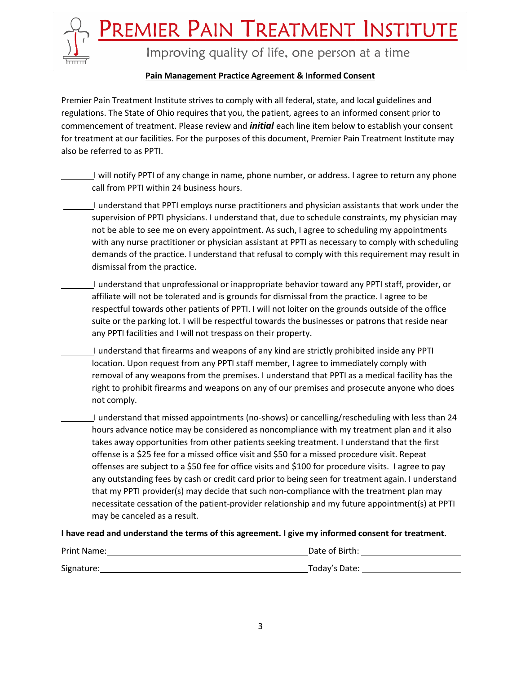<u>PREMIER PAIN TREATMENT INSTITUTE</u>



Improving quality of life, one person at a time

#### **Pain Management Practice Agreement & Informed Consent**

Premier Pain Treatment Institute strives to comply with all federal, state, and local guidelines and regulations. The State of Ohio requires that you, the patient, agrees to an informed consent prior to commencement of treatment. Please review and *initial* each line item below to establish your consent for treatment at our facilities. For the purposes of this document, Premier Pain Treatment Institute may also be referred to as PPTI.

I will notify PPTI of any change in name, phone number, or address. I agree to return any phone call from PPTI within 24 business hours.

- I understand that PPTI employs nurse practitioners and physician assistants that work under the supervision of PPTI physicians. I understand that, due to schedule constraints, my physician may not be able to see me on every appointment. As such, I agree to scheduling my appointments with any nurse practitioner or physician assistant at PPTI as necessary to comply with scheduling demands of the practice. I understand that refusal to comply with this requirement may result in dismissal from the practice.
- I understand that unprofessional or inappropriate behavior toward any PPTI staff, provider, or affiliate will not be tolerated and is grounds for dismissal from the practice. I agree to be respectful towards other patients of PPTI. I will not loiter on the grounds outside of the office suite or the parking lot. I will be respectful towards the businesses or patrons that reside near any PPTI facilities and I will not trespass on their property.
	- I understand that firearms and weapons of any kind are strictly prohibited inside any PPTI location. Upon request from any PPTI staff member, I agree to immediately comply with removal of any weapons from the premises. I understand that PPTI as a medical facility has the right to prohibit firearms and weapons on any of our premises and prosecute anyone who does not comply.
	- I understand that missed appointments (no-shows) or cancelling/rescheduling with less than 24 hours advance notice may be considered as noncompliance with my treatment plan and it also takes away opportunities from other patients seeking treatment. I understand that the first offense is a \$25 fee for a missed office visit and \$50 for a missed procedure visit. Repeat offenses are subject to a \$50 fee for office visits and \$100 for procedure visits. I agree to pay any outstanding fees by cash or credit card prior to being seen for treatment again. I understand that my PPTI provider(s) may decide that such non-compliance with the treatment plan may necessitate cessation of the patient-provider relationship and my future appointment(s) at PPTI may be canceled as a result.

#### **I have read and understand the terms of this agreement. I give my informed consent for treatment.**

| Print Name: | Date of Birth: |
|-------------|----------------|
| Signature:  | Today's Date:  |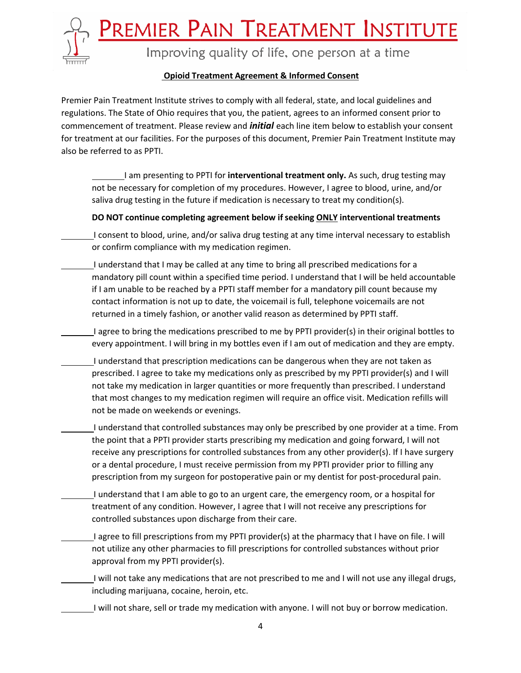<u>Premier Pain Treatment Institute</u>



Improving quality of life, one person at a time

#### **Opioid Treatment Agreement & Informed Consent**

Premier Pain Treatment Institute strives to comply with all federal, state, and local guidelines and regulations. The State of Ohio requires that you, the patient, agrees to an informed consent prior to commencement of treatment. Please review and *initial* each line item below to establish your consent for treatment at our facilities. For the purposes of this document, Premier Pain Treatment Institute may also be referred to as PPTI.

I am presenting to PPTI for **interventional treatment only.** As such, drug testing may not be necessary for completion of my procedures. However, I agree to blood, urine, and/or saliva drug testing in the future if medication is necessary to treat my condition(s).

#### **DO NOT continue completing agreement below ifseeking ONLY interventional treatments**

I consent to blood, urine, and/or saliva drug testing at any time interval necessary to establish or confirm compliance with my medication regimen.

I understand that I may be called at any time to bring all prescribed medications for a mandatory pill count within a specified time period. I understand that I will be held accountable if I am unable to be reached by a PPTI staff member for a mandatory pill count because my contact information is not up to date, the voicemail is full, telephone voicemails are not returned in a timely fashion, or another valid reason as determined by PPTI staff.

I agree to bring the medications prescribed to me by PPTI provider(s) in their original bottles to every appointment. I will bring in my bottles even if I am out of medication and they are empty.

- I understand that prescription medications can be dangerous when they are not taken as prescribed. I agree to take my medications only as prescribed by my PPTI provider(s) and I will not take my medication in larger quantities or more frequently than prescribed. I understand that most changes to my medication regimen will require an office visit. Medication refills will not be made on weekends or evenings.
- I understand that controlled substances may only be prescribed by one provider at a time. From the point that a PPTI provider starts prescribing my medication and going forward, I will not receive any prescriptions for controlled substances from any other provider(s). If I have surgery or a dental procedure, I must receive permission from my PPTI provider prior to filling any prescription from my surgeon for postoperative pain or my dentist for post-procedural pain.
- I understand that I am able to go to an urgent care, the emergency room, or a hospital for treatment of any condition. However, I agree that I will not receive any prescriptions for controlled substances upon discharge from their care.
- I agree to fill prescriptions from my PPTI provider(s) at the pharmacy that I have on file. I will not utilize any other pharmacies to fill prescriptions for controlled substances without prior approval from my PPTI provider(s).
- I will not take any medications that are not prescribed to me and I will not use any illegal drugs, including marijuana, cocaine, heroin, etc.
	- I will not share, sell or trade my medication with anyone. I will not buy or borrow medication.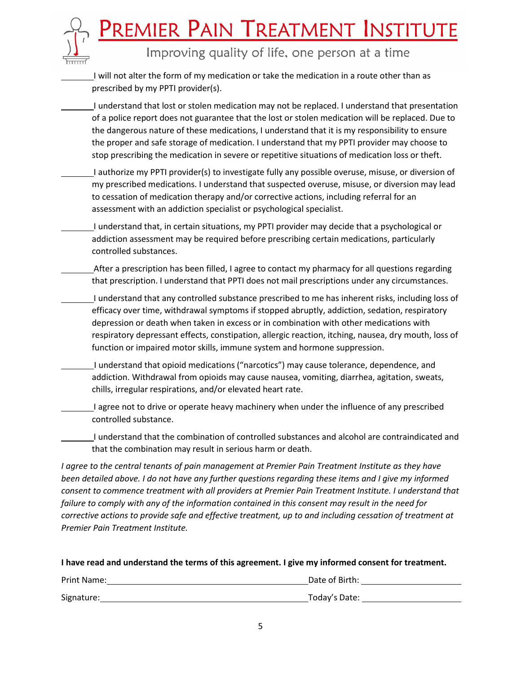# <u>Premier Pain Treatment Institute</u>

Improving quality of life, one person at a time

I will not alter the form of my medication or take the medication in a route other than as prescribed by my PPTI provider(s).

I understand that lost or stolen medication may not be replaced. I understand that presentation of a police report does not guarantee that the lost or stolen medication will be replaced. Due to the dangerous nature of these medications, I understand that it is my responsibility to ensure the proper and safe storage of medication. I understand that my PPTI provider may choose to stop prescribing the medication in severe or repetitive situations of medication loss or theft.

- I authorize my PPTI provider(s) to investigate fully any possible overuse, misuse, or diversion of my prescribed medications. I understand that suspected overuse, misuse, or diversion may lead to cessation of medication therapy and/or corrective actions, including referral for an assessment with an addiction specialist or psychological specialist.
- I understand that, in certain situations, my PPTI provider may decide that a psychological or addiction assessment may be required before prescribing certain medications, particularly controlled substances.
- After a prescription has been filled, I agree to contact my pharmacy for all questions regarding that prescription. I understand that PPTI does not mail prescriptions under any circumstances.
	- I understand that any controlled substance prescribed to me has inherent risks, including loss of efficacy over time, withdrawal symptoms if stopped abruptly, addiction, sedation, respiratory depression or death when taken in excess or in combination with other medications with respiratory depressant effects, constipation, allergic reaction, itching, nausea, dry mouth, loss of function or impaired motor skills, immune system and hormone suppression.
	- I understand that opioid medications ("narcotics") may cause tolerance, dependence, and addiction. Withdrawal from opioids may cause nausea, vomiting, diarrhea, agitation, sweats, chills, irregular respirations, and/or elevated heart rate.
- I agree not to drive or operate heavy machinery when under the influence of any prescribed controlled substance.

I understand that the combination of controlled substances and alcohol are contraindicated and that the combination may result in serious harm or death.

*I agree to the central tenants of pain management at Premier Pain Treatment Institute as they have been detailed above. I do not have any further questions regarding these items and I give my informed consent to commence treatment with all providers at Premier Pain Treatment Institute. I understand that failure to comply with any of the information contained in this consent may result in the need for corrective actions to provide safe and effective treatment, up to and including cessation of treatment at Premier Pain Treatment Institute.*

#### **I have read and understand the terms of this agreement. I give my informed consent for treatment.**

| Print Name: | Date of Birth: |
|-------------|----------------|
| Signature:  | Today's Date:  |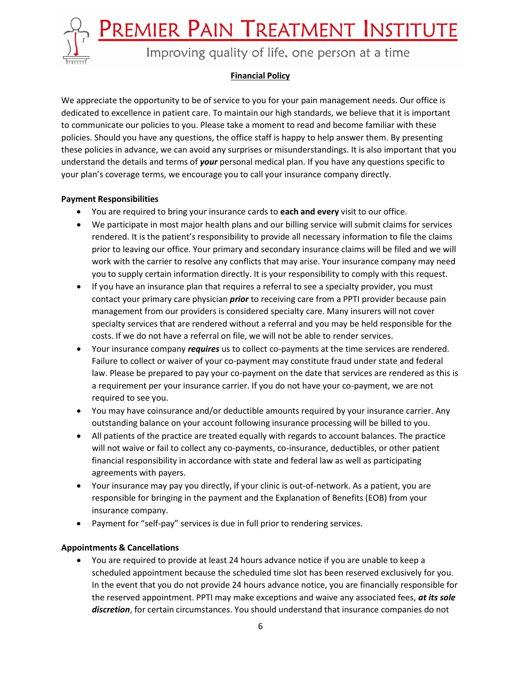PREMIER PAIN TREATMENT INSTITUTE



Improving quality of life, one person at a time

#### **Financial Policy**

We appreciate the opportunity to be of service to you for your pain management needs. Our office is dedicated to excellence in patient care. To maintain our high standards, we believe that it is important to communicate our policies to you. Please take a moment to read and become familiar with these policies. Should you have any questions, the office staff is happy to help answer them. By presenting these policies in advance, we can avoid any surprises or misunderstandings. It is also important that you understand the details and terms of *your* personal medical plan. If you have any questions specific to your plan's coverage terms, we encourage you to call your insurance company directly.

#### **Payment Responsibilities**

- You are required to bring your insurance cards to **each and every** visit to our office.
- We participate in most major health plans and our billing service will submit claims for services rendered. It is the patient's responsibility to provide all necessary information to file the claims prior to leaving our office. Your primary and secondary insurance claims will be filed and we will work with the carrier to resolve any conflicts that may arise. Your insurance company may need you to supply certain information directly. It is your responsibility to comply with this request.
- If you have an insurance plan that requires a referral to see a specialty provider, you must contact your primary care physician *prior* to receiving care from a PPTI provider because pain management from our providers is considered specialty care. Many insurers will not cover specialty services that are rendered without a referral and you may be held responsible for the costs. If we do not have a referral on file, we will not be able to render services.
- Your insurance company *requires* us to collect co-payments at the time services are rendered. Failure to collect or waiver of your co-payment may constitute fraud under state and federal law. Please be prepared to pay your co-payment on the date that services are rendered as this is a requirement per your insurance carrier. If you do not have your co-payment, we are not required to see you.
- You may have coinsurance and/or deductible amounts required by your insurance carrier. Any outstanding balance on your account following insurance processing will be billed to you.
- All patients of the practice are treated equally with regards to account balances. The practice will not waive or fail to collect any co-payments, co-insurance, deductibles, or other patient financial responsibility in accordance with state and federal law as well as participating agreements with payers.
- Your insurance may pay you directly, if your clinic is out-of-network. As a patient, you are responsible for bringing in the payment and the Explanation of Benefits (EOB) from your insurance company.
- Payment for "self-pay" services is due in full prior to rendering services.

#### **Appointments & Cancellations**

• You are required to provide at least 24 hours advance notice if you are unable to keep a scheduled appointment because the scheduled time slot has been reserved exclusively for you. In the event that you do not provide 24 hours advance notice, you are financially responsible for the reserved appointment. PPTI may make exceptions and waive any associated fees, *at its sole discretion*, for certain circumstances. You should understand that insurance companies do not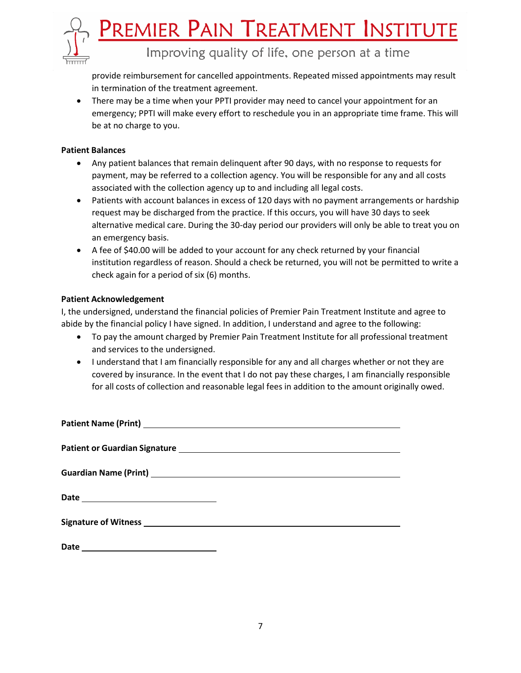

provide reimbursement for cancelled appointments. Repeated missed appointments may result in termination of the treatment agreement.

• There may be a time when your PPTI provider may need to cancel your appointment for an emergency; PPTI will make every effort to reschedule you in an appropriate time frame. This will be at no charge to you.

#### **Patient Balances**

- Any patient balances that remain delinquent after 90 days, with no response to requests for payment, may be referred to a collection agency. You will be responsible for any and all costs associated with the collection agency up to and including all legal costs.
- Patients with account balances in excess of 120 days with no payment arrangements or hardship request may be discharged from the practice. If this occurs, you will have 30 days to seek alternative medical care. During the 30-day period our providers will only be able to treat you on an emergency basis.
- A fee of \$40.00 will be added to your account for any check returned by your financial institution regardless of reason. Should a check be returned, you will not be permitted to write a check again for a period of  $six(6)$  months.

#### **Patient Acknowledgement**

I, the undersigned, understand the financial policies of Premier Pain Treatment Institute and agree to abide by the financial policy I have signed. In addition, I understand and agree to the following:

- To pay the amount charged by Premier Pain Treatment Institute for all professional treatment and services to the undersigned.
- I understand that I am financially responsible for any and all charges whether or not they are covered by insurance. In the event that I do not pay these charges, I am financially responsible for all costs of collection and reasonable legal fees in addition to the amount originally owed.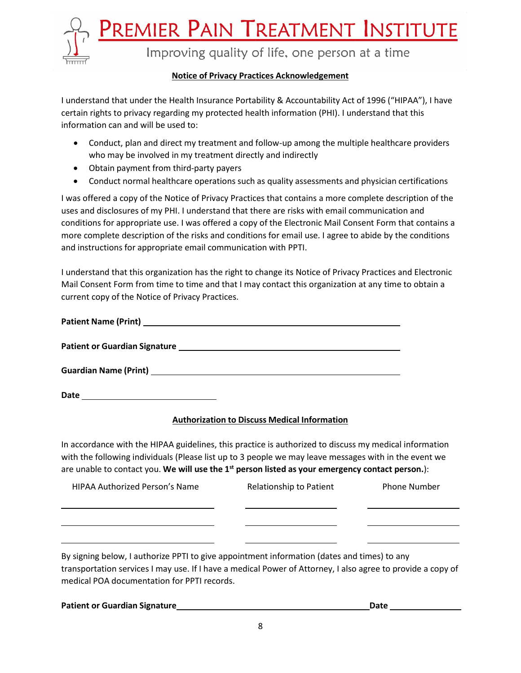<u>PREMIER PAIN TREATMENT INSTITUTE</u>



Improving quality of life, one person at a time

#### **Notice of Privacy Practices Acknowledgement**

I understand that under the Health Insurance Portability & Accountability Act of 1996 ("HIPAA"), I have certain rights to privacy regarding my protected health information (PHI). I understand that this information can and will be used to:

- Conduct, plan and direct my treatment and follow-up among the multiple healthcare providers who may be involved in my treatment directly and indirectly
- Obtain payment from third-party payers
- Conduct normal healthcare operations such as quality assessments and physician certifications

I was offered a copy of the Notice of Privacy Practices that contains a more complete description of the uses and disclosures of my PHI. I understand that there are risks with email communication and conditions for appropriate use. I was offered a copy of the Electronic Mail Consent Form that contains a more complete description of the risks and conditions for email use. I agree to abide by the conditions and instructions for appropriate email communication with PPTI.

I understand that this organization has the right to change its Notice of Privacy Practices and Electronic Mail Consent Form from time to time and that I may contact this organization at any time to obtain a current copy of the Notice of Privacy Practices.

| Date<br>the contract of the contract of the contract of the contract of the contract of |  |
|-----------------------------------------------------------------------------------------|--|

#### **Authorization to Discuss Medical Information**

In accordance with the HIPAA guidelines, this practice is authorized to discuss my medical information with the following individuals (Please list up to 3 people we may leave messages with in the event we are unable to contact you. **We will use the 1 st person listed as your emergency contact person.**):

| HIPAA Authorized Person's Name                                                              | <b>Relationship to Patient</b> | <b>Phone Number</b> |
|---------------------------------------------------------------------------------------------|--------------------------------|---------------------|
|                                                                                             |                                |                     |
|                                                                                             |                                |                     |
| By signing below, I authorize PPTI to give appointment information (dates and times) to any |                                |                     |

transportation services I may use. If I have a medical Power of Attorney, I also agree to provide a copy of medical POA documentation for PPTI records.

| <b>Patient or Guardian Signature</b> | Date |  |
|--------------------------------------|------|--|
|                                      |      |  |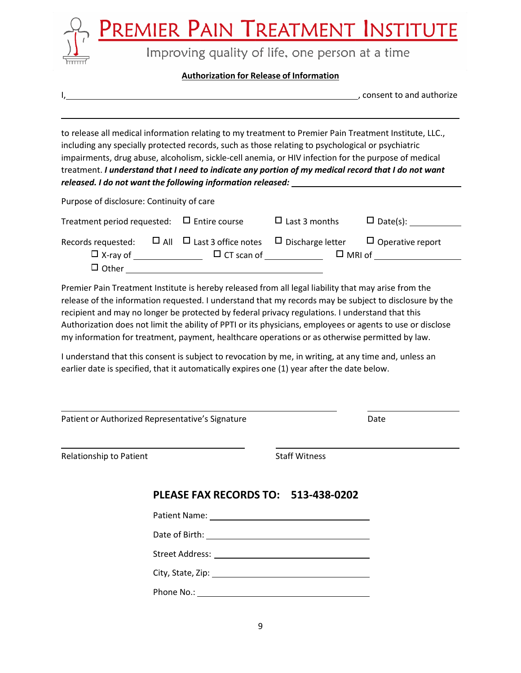

#### **Authorization for Release of Information**

, consent to and authorize

to release all medical information relating to my treatment to Premier Pain Treatment Institute, LLC., including any specially protected records, such as those relating to psychological or psychiatric impairments, drug abuse, alcoholism, sickle-cell anemia, or HIV infection for the purpose of medical treatment. *I understand that I need to indicate any portion of my medical record that I do not want released. I do not want the following information released:*

Purpose of disclosure: Continuity of care

| Treatment period requested: $\Box$ Entire course |                                                               | $\Box$ Last 3 months | $\Box$ Date(s):         |
|--------------------------------------------------|---------------------------------------------------------------|----------------------|-------------------------|
| Records requested:                               | $\Box$ All $\Box$ Last 3 office notes $\Box$ Discharge letter |                      | $\Box$ Operative report |
| $\Box$ X-ray of<br>$\Box$ Other                  | $\Box$ CT scan of                                             | $\Box$ MRI of        |                         |

Premier Pain Treatment Institute is hereby released from all legal liability that may arise from the release of the information requested. I understand that my records may be subject to disclosure by the recipient and may no longer be protected by federal privacy regulations. I understand that this Authorization does not limit the ability of PPTI or its physicians, employees or agents to use or disclose my information for treatment, payment, healthcare operations or as otherwise permitted by law.

I understand that this consent is subject to revocation by me, in writing, at any time and, unless an earlier date is specified, that it automatically expires one (1) year after the date below.

| Patient or Authorized Representative's Signature |  | Date                                |  |
|--------------------------------------------------|--|-------------------------------------|--|
| Relationship to Patient                          |  | <b>Staff Witness</b>                |  |
|                                                  |  | PLEASE FAX RECORDS TO: 513-438-0202 |  |
|                                                  |  |                                     |  |
|                                                  |  |                                     |  |
|                                                  |  |                                     |  |
|                                                  |  |                                     |  |
|                                                  |  |                                     |  |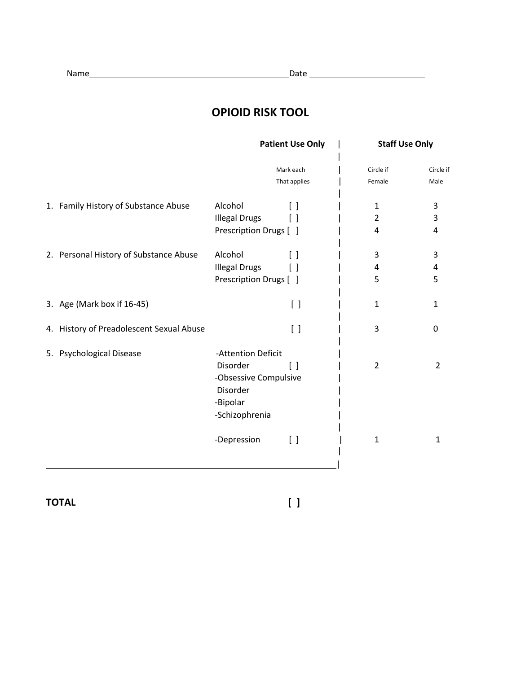# **OPIOID RISK TOOL**

|                                          | <b>Patient Use Only</b> |                                 | <b>Staff Use Only</b> |                   |
|------------------------------------------|-------------------------|---------------------------------|-----------------------|-------------------|
|                                          |                         | Mark each<br>That applies       | Circle if<br>Female   | Circle if<br>Male |
|                                          |                         |                                 |                       |                   |
| 1. Family History of Substance Abuse     | Alcohol                 | $\lceil$ $\rceil$               | $\mathbf{1}$          | 3                 |
|                                          | <b>Illegal Drugs</b>    | $\lceil$ 1                      | 2                     | 3                 |
|                                          | Prescription Drugs [ ]  |                                 | 4                     | 4                 |
| 2. Personal History of Substance Abuse   | Alcohol                 | $\Box$                          | 3                     | 3                 |
|                                          | <b>Illegal Drugs</b>    | $\left[ \ \right]$              | 4                     | 4                 |
|                                          | Prescription Drugs [ ]  |                                 | 5                     | 5                 |
| 3. Age (Mark box if 16-45)               |                         | $[\ ]$                          | 1                     | 1                 |
| 4. History of Preadolescent Sexual Abuse |                         | $[\ ]$                          | 3                     | 0                 |
| 5. Psychological Disease                 | -Attention Deficit      |                                 |                       |                   |
|                                          | Disorder                | $\lceil$ $\rceil$               | $\overline{2}$        | $\overline{2}$    |
|                                          | -Obsessive Compulsive   |                                 |                       |                   |
|                                          | Disorder                |                                 |                       |                   |
|                                          | -Bipolar                |                                 |                       |                   |
|                                          | -Schizophrenia          |                                 |                       |                   |
|                                          | -Depression             | $\begin{bmatrix} \end{bmatrix}$ | $\mathbf{1}$          | 1                 |
|                                          |                         |                                 |                       |                   |

**TOTAL [ ]**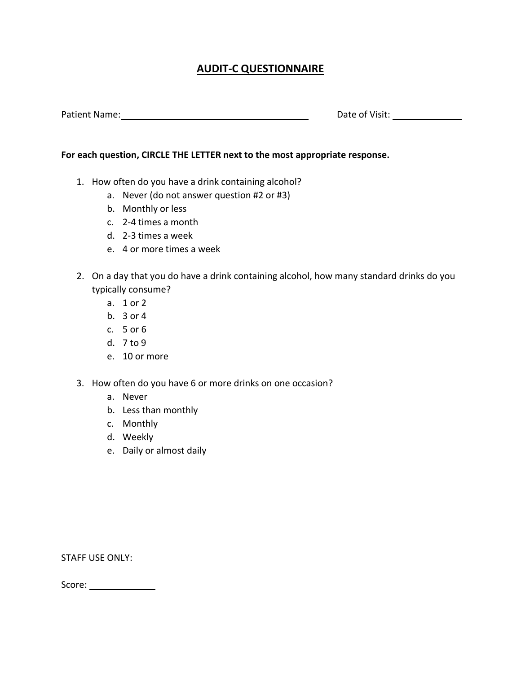## **AUDIT-C QUESTIONNAIRE**

Patient Name: Name: Name: Date of Visit: Name: Date of Visit: Name: Date of Visit: Name: 2014

#### **For each question, CIRCLE THE LETTER next to the most appropriate response.**

- 1. How often do you have a drink containing alcohol?
	- a. Never (do not answer question #2 or #3)
	- b. Monthly or less
	- c. 2-4 times a month
	- d. 2-3 times a week
	- e. 4 or more times a week
- 2. On a day that you do have a drink containing alcohol, how many standard drinks do you typically consume?
	- a. 1 or 2
	- b. 3 or 4
	- c. 5 or 6
	- d. 7 to 9
	- e. 10 or more
- 3. How often do you have 6 or more drinks on one occasion?
	- a. Never
	- b. Less than monthly
	- c. Monthly
	- d. Weekly
	- e. Daily or almost daily

STAFF USE ONLY:

Score: \_\_\_\_\_\_\_\_\_\_\_\_\_\_\_\_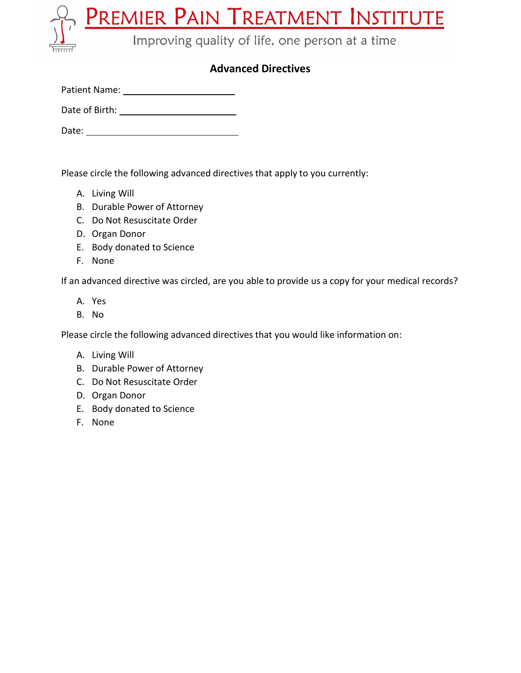**PREMIER PAIN TREATMENT INSTITUTE**<br>Improving quality of life, one person at a time

## **Advanced Directives**

| <b>Patient Name:</b> |  |
|----------------------|--|
|                      |  |

Date of Birth:

Date:

Please circle the following advanced directives that apply to you currently:

- A. Living Will
- B. Durable Power of Attorney
- C. Do Not Resuscitate Order
- D. Organ Donor
- E. Body donated to Science
- F. None

If an advanced directive was circled, are you able to provide us a copy for your medical records?

- A. Yes
- B. No

Please circle the following advanced directives that you would like information on:

- A. Living Will
- B. Durable Power of Attorney
- C. Do Not Resuscitate Order
- D. Organ Donor
- E. Body donated to Science
- F. None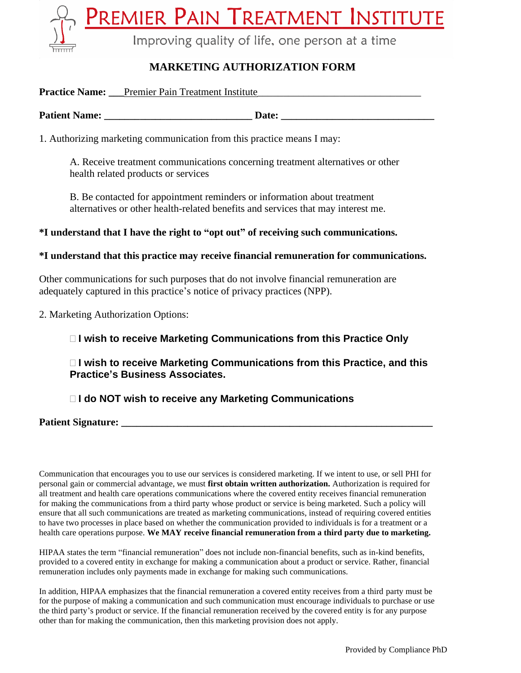<u>remier Pain Treatment</u> INSTITUTE Improving quality of life, one person at a time

## **MARKETING AUTHORIZATION FORM**

|                      | <b>Practice Name:</b> Premier Pain Treatment Institute                 |  |  |
|----------------------|------------------------------------------------------------------------|--|--|
| <b>Patient Name:</b> | Date:                                                                  |  |  |
|                      | 1. Authorizing marketing communication from this practice means I may: |  |  |

A. Receive treatment communications concerning treatment alternatives or other health related products or services

B. Be contacted for appointment reminders or information about treatment alternatives or other health-related benefits and services that may interest me.

**\*I understand that I have the right to "opt out" of receiving such communications.**

#### **\*I understand that this practice may receive financial remuneration for communications.**

Other communications for such purposes that do not involve financial remuneration are adequately captured in this practice's notice of privacy practices (NPP).

2. Marketing Authorization Options:

## □ I wish to receive Marketing Communications from this Practice Only

 **I wish to receive Marketing Communications from this Practice, and this Practice's Business Associates.**

## **I do NOT wish to receive any Marketing Communications**

**Patient Signature:** 

Communication that encourages you to use our services is considered marketing. If we intent to use, or sell PHI for personal gain or commercial advantage, we must **first obtain written authorization.** Authorization is required for all treatment and health care operations communications where the covered entity receives financial remuneration for making the communications from a third party whose product or service is being marketed. Such a policy will ensure that all such communications are treated as marketing communications, instead of requiring covered entities to have two processes in place based on whether the communication provided to individuals is for a treatment or a health care operations purpose. **We MAY receive financial remuneration from a third party due to marketing.**

HIPAA states the term "financial remuneration" does not include non-financial benefits, such as in-kind benefits, provided to a covered entity in exchange for making a communication about a product or service. Rather, financial remuneration includes only payments made in exchange for making such communications.

In addition, HIPAA emphasizes that the financial remuneration a covered entity receives from a third party must be for the purpose of making a communication and such communication must encourage individuals to purchase or use the third party's product or service. If the financial remuneration received by the covered entity is for any purpose other than for making the communication, then this marketing provision does not apply.